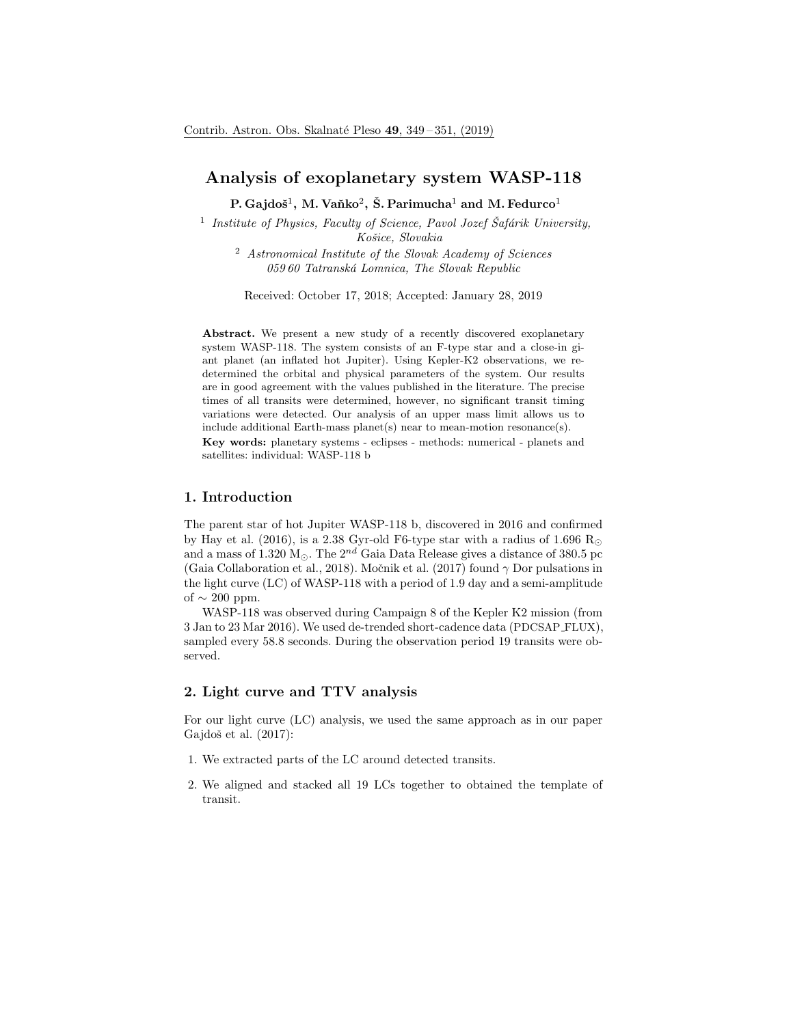# Analysis of exoplanetary system WASP-118

P. Gajdoš $^1$ , M. Vaňko $^2$ , Š. Parimucha $^1$  and M. Fedurco $^1$ 

<sup>1</sup> Institute of Physics, Faculty of Science, Pavol Jozef Šafárik University, Košice, Slovakia

<sup>2</sup> Astronomical Institute of the Slovak Academy of Sciences 059 60 Tatranská Lomnica, The Slovak Republic

Received: October 17, 2018; Accepted: January 28, 2019

Abstract. We present a new study of a recently discovered exoplanetary system WASP-118. The system consists of an F-type star and a close-in giant planet (an inflated hot Jupiter). Using Kepler-K2 observations, we redetermined the orbital and physical parameters of the system. Our results are in good agreement with the values published in the literature. The precise times of all transits were determined, however, no significant transit timing variations were detected. Our analysis of an upper mass limit allows us to include additional Earth-mass planet(s) near to mean-motion resonance(s). Key words: planetary systems - eclipses - methods: numerical - planets and

satellites: individual: WASP-118 b

#### 1. Introduction

The parent star of hot Jupiter WASP-118 b, discovered in 2016 and confirmed by Hay et al. (2016), is a 2.38 Gyr-old F6-type star with a radius of 1.696  $R_{\odot}$ and a mass of 1.320 M<sub>☉</sub>. The  $2^{nd}$  Gaia Data Release gives a distance of 380.5 pc (Gaia Collaboration et al., 2018). Močnik et al. (2017) found  $\gamma$  Dor pulsations in the light curve (LC) of WASP-118 with a period of 1.9 day and a semi-amplitude of  $\sim 200$  ppm.

WASP-118 was observed during Campaign 8 of the Kepler K2 mission (from 3 Jan to 23 Mar 2016). We used de-trended short-cadence data (PDCSAP FLUX), sampled every 58.8 seconds. During the observation period 19 transits were observed.

## 2. Light curve and TTV analysis

For our light curve (LC) analysis, we used the same approach as in our paper Gajdoš et al.  $(2017)$ :

- 1. We extracted parts of the LC around detected transits.
- 2. We aligned and stacked all 19 LCs together to obtained the template of transit.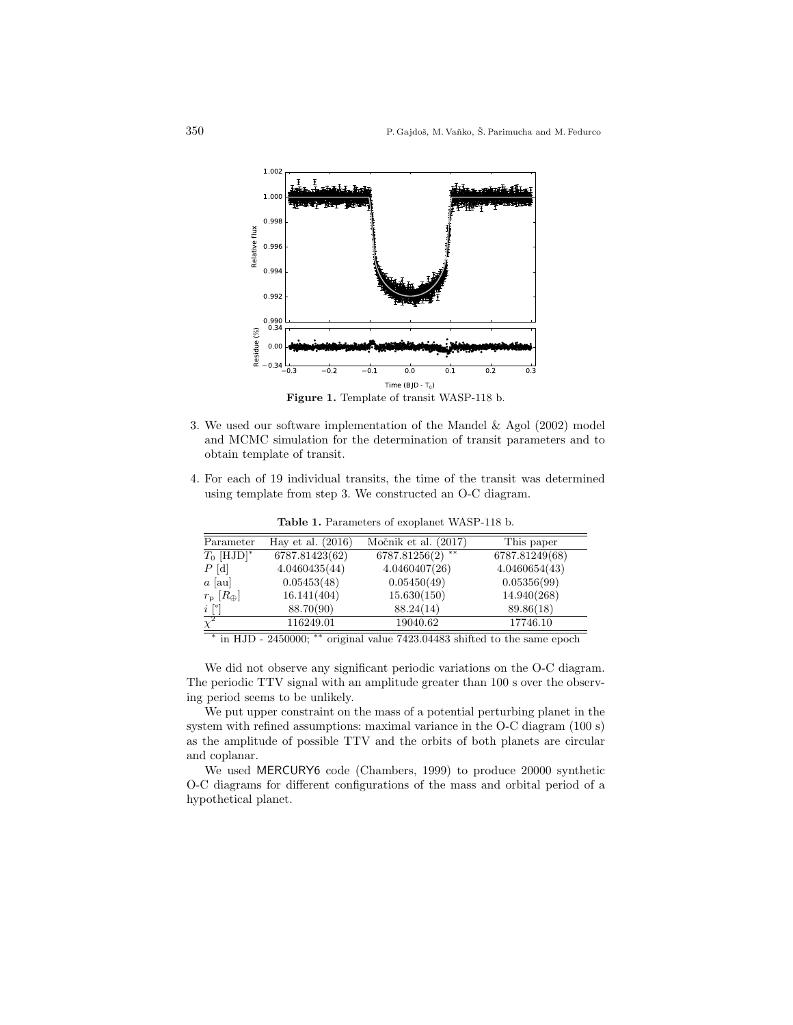

- 3. We used our software implementation of the Mandel & Agol (2002) model and MCMC simulation for the determination of transit parameters and to obtain template of transit.
- 4. For each of 19 individual transits, the time of the transit was determined using template from step 3. We constructed an O-C diagram.

| Parameter                | Hay et al. $(2016)$ | Močnik et al. $(2017)$ | This paper     |
|--------------------------|---------------------|------------------------|----------------|
| $T_0$ [HJD] <sup>*</sup> | 6787.81423(62)      | $* *$<br>6787.81256(2) | 6787.81249(68) |
| $P[\mathrm{d}]$          | 4.0460435(44)       | 4.0460407(26)          | 4.0460654(43)  |
| $a$ [au]                 | 0.05453(48)         | 0.05450(49)            | 0.05356(99)    |
| $r_{\rm p}~[R_{\oplus}]$ | 16.141(404)         | 15.630(150)            | 14.940(268)    |
| $i\[^{\circ}$            | 88.70(90)           | 88.24(14)              | 89.86(18)      |
| $\overline{\chi^2}$      | 116249.01           | 19040.62               | 17746.10       |

Table 1. Parameters of exoplanet WASP-118 b.

∗ in HJD - 2450000; ∗∗ original value 7423.04483 shifted to the same epoch

We did not observe any significant periodic variations on the O-C diagram. The periodic TTV signal with an amplitude greater than 100 s over the observing period seems to be unlikely.

We put upper constraint on the mass of a potential perturbing planet in the system with refined assumptions: maximal variance in the O-C diagram (100 s) as the amplitude of possible TTV and the orbits of both planets are circular and coplanar.

We used MERCURY6 code (Chambers, 1999) to produce 20000 synthetic O-C diagrams for different configurations of the mass and orbital period of a hypothetical planet.